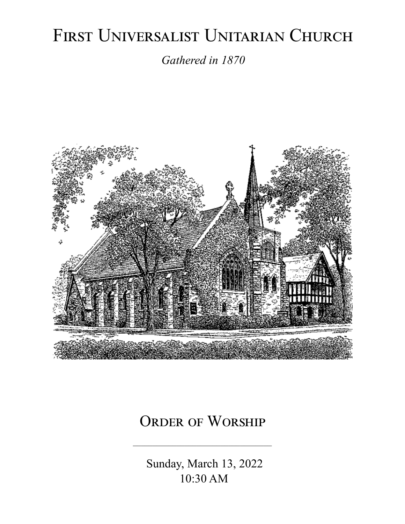# FIRST UNIVERSALIST UNITARIAN CHURCH

*Gathered in 1870*



# ORDER OF WORSHIP

 Sunday, March 13, 2022 10:30 AM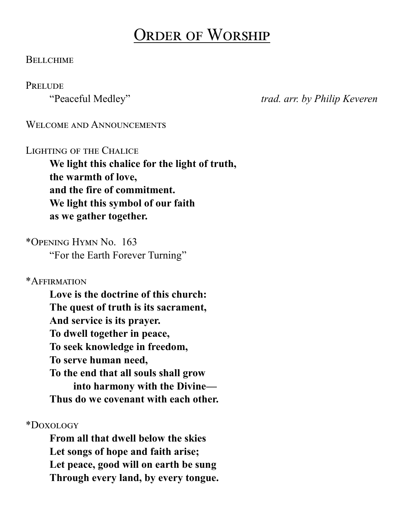# Order of Worship

#### **BELLCHIME**

#### **PRELUDE**

"Peaceful Medley" *trad. arr. by Philip Keveren*

#### WELCOME AND ANNOUNCEMENTS

#### Lighting of the Chalice

**We light this chalice for the light of truth, the warmth of love, and the fire of commitment. We light this symbol of our faith as we gather together.**

\*Opening Hymn No. 163

"For the Earth Forever Turning"

\*Affirmation

**Love is the doctrine of this church: The quest of truth is its sacrament, And service is its prayer. To dwell together in peace, To seek knowledge in freedom, To serve human need, To the end that all souls shall grow into harmony with the Divine— Thus do we covenant with each other.**

\*Doxology

**From all that dwell below the skies Let songs of hope and faith arise; Let peace, good will on earth be sung Through every land, by every tongue.**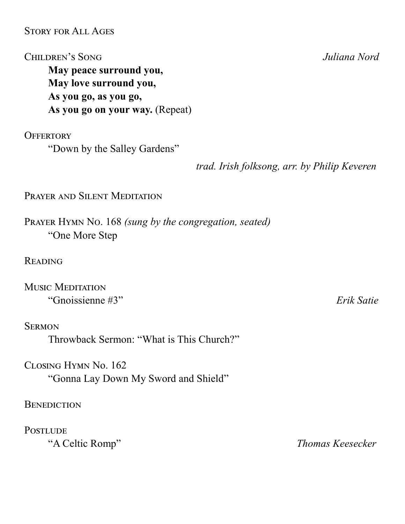#### Story for All Ages

Children's Song *Juliana Nord*

**May peace surround you, May love surround you, As you go, as you go, As you go on your way.** (Repeat)

**OFFERTORY** 

"Down by the Salley Gardens"

*trad. Irish folksong, arr. by Philip Keveren* 

PRAYER AND SILENT MEDITATION

Prayer Hymn No. 168 *(sung by the congregation, seated)* "One More Step

**READING** 

Music Meditation "Gnoissienne #3" *Erik Satie*

**SERMON** 

Throwback Sermon: "What is This Church?"

Closing Hymn No. 162 "Gonna Lay Down My Sword and Shield"

**BENEDICTION** 

**POSTLUDE** 

"A Celtic Romp" *Thomas Keesecker*